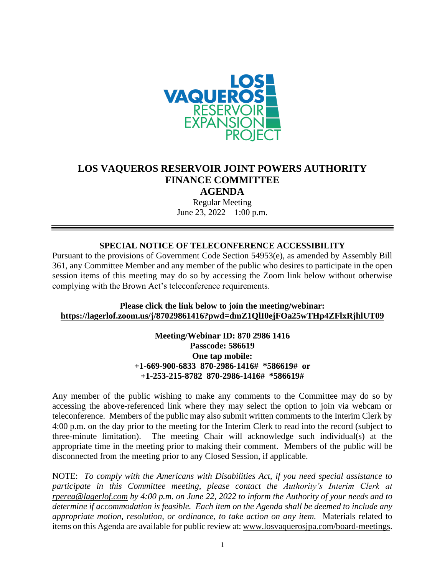

## **LOS VAQUEROS RESERVOIR JOINT POWERS AUTHORITY FINANCE COMMITTEE**

**AGENDA**

Regular Meeting June 23,  $2022 - 1:00$  p.m.

### **SPECIAL NOTICE OF TELECONFERENCE ACCESSIBILITY**

Pursuant to the provisions of Government Code Section 54953(e), as amended by Assembly Bill 361, any Committee Member and any member of the public who desires to participate in the open session items of this meeting may do so by accessing the Zoom link below without otherwise complying with the Brown Act's teleconference requirements.

### **Please click the link below to join the meeting/webinar: <https://lagerlof.zoom.us/j/87029861416?pwd=dmZ1QlI0ejFOa25wTHp4ZFlxRjhlUT09>**

### **Meeting/Webinar ID: 870 2986 1416 Passcode: 586619 One tap mobile: +1-669-900-6833 870-2986-1416# \*586619# or +1-253-215-8782 870-2986-1416# \*586619#**

Any member of the public wishing to make any comments to the Committee may do so by accessing the above-referenced link where they may select the option to join via webcam or teleconference. Members of the public may also submit written comments to the Interim Clerk by 4:00 p.m. on the day prior to the meeting for the Interim Clerk to read into the record (subject to three-minute limitation). The meeting Chair will acknowledge such individual(s) at the appropriate time in the meeting prior to making their comment. Members of the public will be disconnected from the meeting prior to any Closed Session, if applicable.

NOTE: *To comply with the Americans with Disabilities Act, if you need special assistance to participate in this Committee meeting, please contact the Authority's Interim Clerk at [rperea@lagerlof.com](mailto:rperea@lagerlof.com) by 4:00 p.m. on June 22, 2022 to inform the Authority of your needs and to determine if accommodation is feasible. Each item on the Agenda shall be deemed to include any appropriate motion, resolution, or ordinance, to take action on any item.* Materials related to items on this Agenda are available for public review at: [www.losvaquerosjpa.com/board-meetings.](http://www.losvaquerosjpa.com/board-meetings)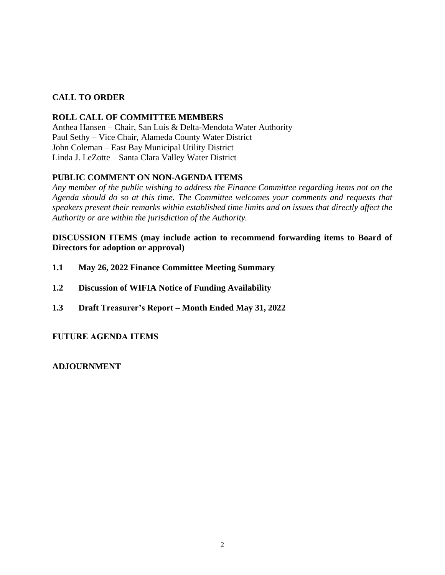## **CALL TO ORDER**

### **ROLL CALL OF COMMITTEE MEMBERS**

Anthea Hansen – Chair, San Luis & Delta-Mendota Water Authority Paul Sethy – Vice Chair, Alameda County Water District John Coleman – East Bay Municipal Utility District Linda J. LeZotte – Santa Clara Valley Water District

## **PUBLIC COMMENT ON NON-AGENDA ITEMS**

*Any member of the public wishing to address the Finance Committee regarding items not on the Agenda should do so at this time. The Committee welcomes your comments and requests that speakers present their remarks within established time limits and on issues that directly affect the Authority or are within the jurisdiction of the Authority.* 

### **DISCUSSION ITEMS (may include action to recommend forwarding items to Board of Directors for adoption or approval)**

- **1.1 May 26, 2022 Finance Committee Meeting Summary**
- **1.2 Discussion of WIFIA Notice of Funding Availability**
- **1.3 Draft Treasurer's Report – Month Ended May 31, 2022**

**FUTURE AGENDA ITEMS**

**ADJOURNMENT**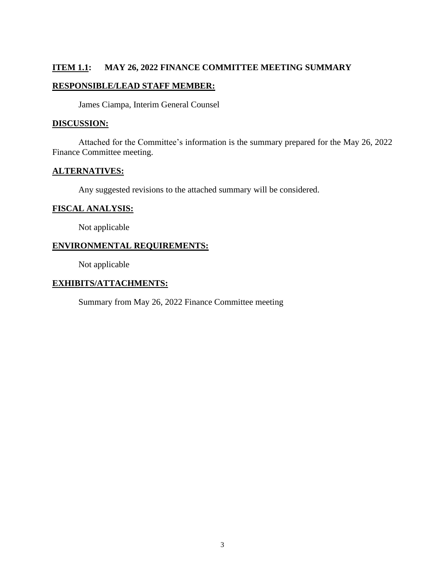### **ITEM 1.1: MAY 26, 2022 FINANCE COMMITTEE MEETING SUMMARY**

### **RESPONSIBLE/LEAD STAFF MEMBER:**

James Ciampa, Interim General Counsel

#### **DISCUSSION:**

Attached for the Committee's information is the summary prepared for the May 26, 2022 Finance Committee meeting.

#### **ALTERNATIVES:**

Any suggested revisions to the attached summary will be considered.

### **FISCAL ANALYSIS:**

Not applicable

### **ENVIRONMENTAL REQUIREMENTS:**

Not applicable

## **EXHIBITS/ATTACHMENTS:**

Summary from May 26, 2022 Finance Committee meeting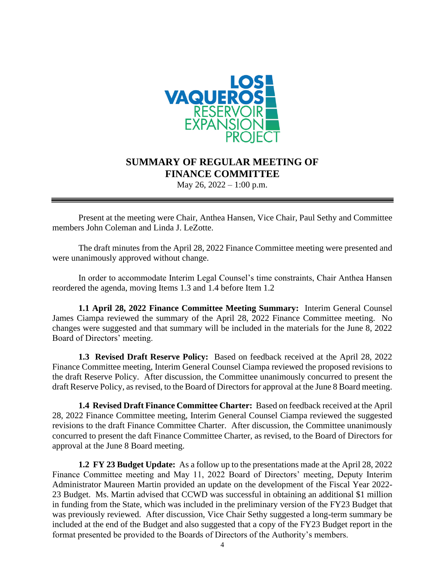

## **SUMMARY OF REGULAR MEETING OF FINANCE COMMITTEE**

May 26, 2022 – 1:00 p.m.

Present at the meeting were Chair, Anthea Hansen, Vice Chair, Paul Sethy and Committee members John Coleman and Linda J. LeZotte.

The draft minutes from the April 28, 2022 Finance Committee meeting were presented and were unanimously approved without change.

In order to accommodate Interim Legal Counsel's time constraints, Chair Anthea Hansen reordered the agenda, moving Items 1.3 and 1.4 before Item 1.2

**1.1 April 28, 2022 Finance Committee Meeting Summary:** Interim General Counsel James Ciampa reviewed the summary of the April 28, 2022 Finance Committee meeting. No changes were suggested and that summary will be included in the materials for the June 8, 2022 Board of Directors' meeting.

**1.3 Revised Draft Reserve Policy:** Based on feedback received at the April 28, 2022 Finance Committee meeting, Interim General Counsel Ciampa reviewed the proposed revisions to the draft Reserve Policy. After discussion, the Committee unanimously concurred to present the draft Reserve Policy, as revised, to the Board of Directors for approval at the June 8 Board meeting.

**1.4 Revised Draft Finance Committee Charter:** Based on feedback received at the April 28, 2022 Finance Committee meeting, Interim General Counsel Ciampa reviewed the suggested revisions to the draft Finance Committee Charter. After discussion, the Committee unanimously concurred to present the daft Finance Committee Charter, as revised, to the Board of Directors for approval at the June 8 Board meeting.

**1.2 FY 23 Budget Update:** As a follow up to the presentations made at the April 28, 2022 Finance Committee meeting and May 11, 2022 Board of Directors' meeting, Deputy Interim Administrator Maureen Martin provided an update on the development of the Fiscal Year 2022- 23 Budget. Ms. Martin advised that CCWD was successful in obtaining an additional \$1 million in funding from the State, which was included in the preliminary version of the FY23 Budget that was previously reviewed. After discussion, Vice Chair Sethy suggested a long-term summary be included at the end of the Budget and also suggested that a copy of the FY23 Budget report in the format presented be provided to the Boards of Directors of the Authority's members.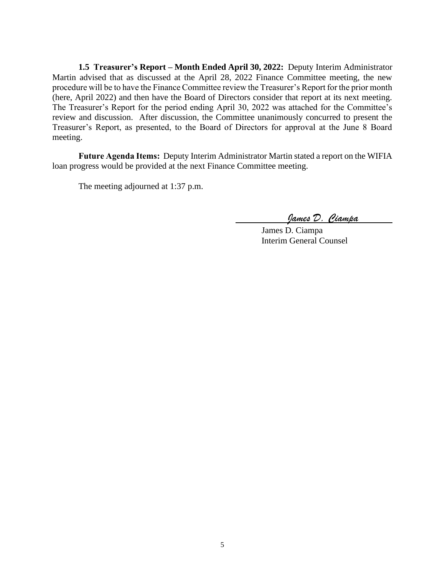**1.5 Treasurer's Report – Month Ended April 30, 2022:** Deputy Interim Administrator Martin advised that as discussed at the April 28, 2022 Finance Committee meeting, the new procedure will be to have the Finance Committee review the Treasurer's Report for the prior month (here, April 2022) and then have the Board of Directors consider that report at its next meeting. The Treasurer's Report for the period ending April 30, 2022 was attached for the Committee's review and discussion. After discussion, the Committee unanimously concurred to present the Treasurer's Report, as presented, to the Board of Directors for approval at the June 8 Board meeting.

**Future Agenda Items:** Deputy Interim Administrator Martin stated a report on the WIFIA loan progress would be provided at the next Finance Committee meeting.

The meeting adjourned at 1:37 p.m.

*James D. Ciampa*

James D. Ciampa Interim General Counsel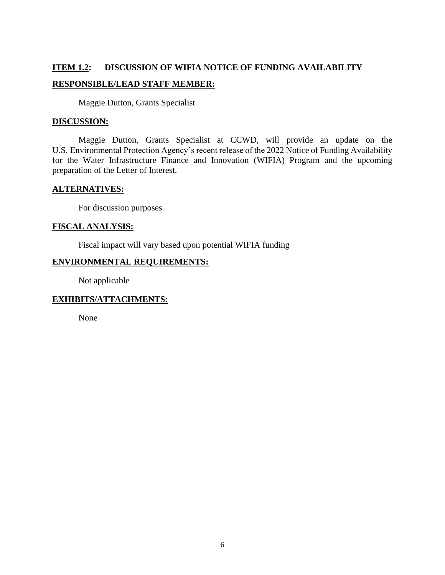# **ITEM 1.2: DISCUSSION OF WIFIA NOTICE OF FUNDING AVAILABILITY RESPONSIBLE/LEAD STAFF MEMBER:**

Maggie Dutton, Grants Specialist

### **DISCUSSION:**

Maggie Dutton, Grants Specialist at CCWD, will provide an update on the U.S. Environmental Protection Agency's recent release of the 2022 Notice of Funding Availability for the Water Infrastructure Finance and Innovation (WIFIA) Program and the upcoming preparation of the Letter of Interest.

### **ALTERNATIVES:**

For discussion purposes

### **FISCAL ANALYSIS:**

Fiscal impact will vary based upon potential WIFIA funding

### **ENVIRONMENTAL REQUIREMENTS:**

Not applicable

### **EXHIBITS/ATTACHMENTS:**

None